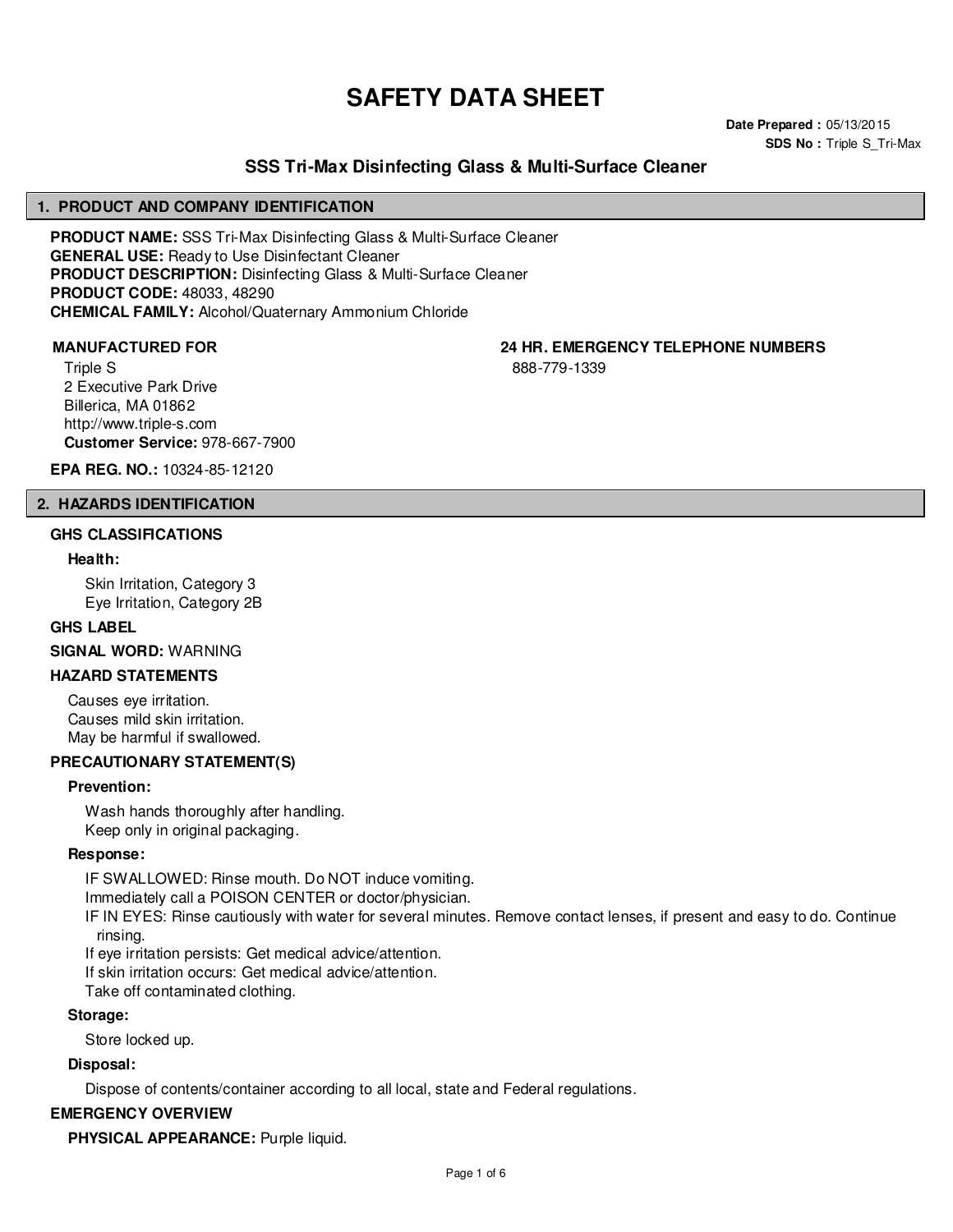# **SAFETY DATA SHEET**

**Date Prepared :** 05/13/2015 **SDS No : Triple S Tri-Max** 

# **SSS Tri-Max Disinfecting Glass & Multi-Surface Cleaner**

#### **1. PRODUCT AND COMPANY IDENTIFICATION**

**PRODUCT NAME:** SSS Tri-Max Disinfecting Glass & Multi-Surface Cleaner **GENERAL USE:** Ready to Use Disinfectant Cleaner **PRODUCT DESCRIPTION:** Disinfecting Glass & Multi-Surface Cleaner **PRODUCT CODE:** 48033, 48290 **CHEMICAL FAMILY:** Alcohol/Quaternary Ammonium Chloride

Triple S 2 Executive Park Drive Billerica, MA 01862 http://www.triple-s.com **Customer Service:** 978-667-7900

**EPA REG. NO.:** 10324-85-12120

#### **2. HAZARDS IDENTIFICATION**

#### **GHS CLASSIFICATIONS**

#### **Health:**

Skin Irritation, Category 3 Eye Irritation, Category 2B

#### **GHS LABEL**

**SIGNAL WORD:** WARNING

### **HAZARD STATEMENTS**

Causes eye irritation. Causes mild skin irritation. May be harmful if swallowed.

#### **PRECAUTIONARY STATEMENT(S)**

#### **Prevention:**

Wash hands thoroughly after handling. Keep only in original packaging.

#### **Response:**

IF SWALLOWED: Rinse mouth. Do NOT induce vomiting.

Immediately call a POISON CENTER or doctor/physician.

IF IN EYES: Rinse cautiously with water for several minutes. Remove contact lenses, if present and easy to do. Continue rinsing.

If eye irritation persists: Get medical advice/attention.

If skin irritation occurs: Get medical advice/attention.

Take off contaminated clothing.

#### **Storage:**

Store locked up.

# **Disposal:**

Dispose of contents/container according to all local, state and Federal regulations.

### **EMERGENCY OVERVIEW**

**PHYSICAL APPEARANCE:** Purple liquid.

**MANUFACTURED FOR 24 HR. EMERGENCY TELEPHONE NUMBERS**

888-779-1339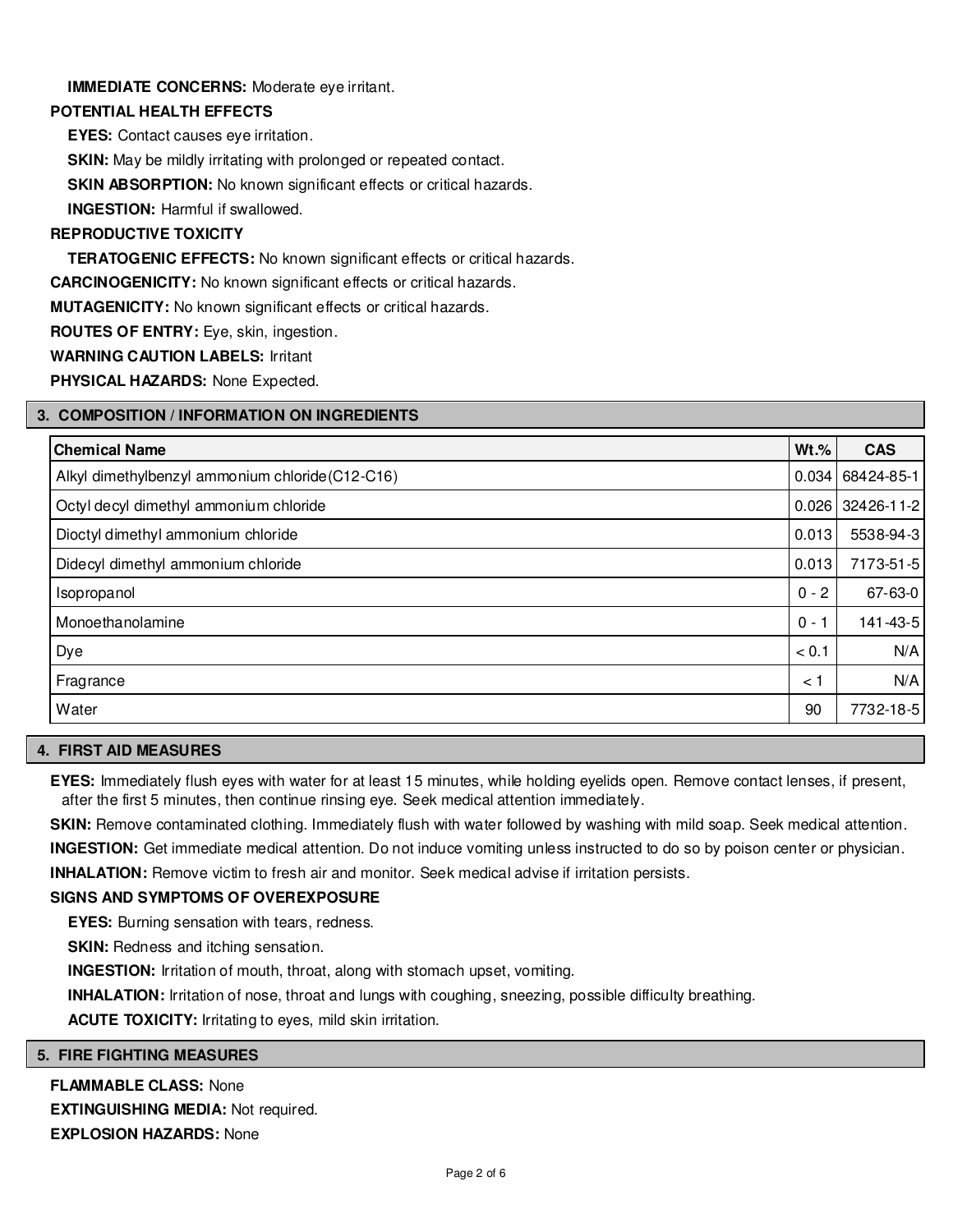# **IMMEDIATE CONCERNS:** Moderate eye irritant.

### **POTENTIAL HEALTH EFFECTS**

**EYES:** Contact causes eye irritation.

**SKIN:** May be mildly irritating with prolonged or repeated contact.

**SKIN ABSORPTION:** No known significant effects or critical hazards.

**INGESTION:** Harmful if swallowed.

# **REPRODUCTIVE TOXICITY**

**TERATOGENIC EFFECTS:** No known significant effects or critical hazards.

**CARCINOGENICITY:** No known significant effects or critical hazards.

**MUTAGENICITY:** No known significant effects or critical hazards.

**ROUTES OF ENTRY:** Eye, skin, ingestion.

**WARNING CAUTION LABELS:** Irritant

**PHYSICAL HAZARDS:** None Expected.

# **3. COMPOSITION / INFORMATION ON INGREDIENTS**

| <b>Chemical Name</b>                             | $Wt.\%$ | <b>CAS</b>         |
|--------------------------------------------------|---------|--------------------|
| Alkyl dimethylbenzyl ammonium chloride (C12-C16) |         | $0.034$ 68424-85-1 |
| Octyl decyl dimethyl ammonium chloride           |         | $0.026$ 32426-11-2 |
| Dioctyl dimethyl ammonium chloride               | 0.013   | 5538-94-3          |
| Didecyl dimethyl ammonium chloride               | 0.013   | 7173-51-5          |
| Isopropanol                                      | $0 - 2$ | 67-63-0            |
| Monoethanolamine                                 | $0 -$   | 141-43-5           |
| Dye                                              | < 0.1   | N/A                |
| Fragrance                                        | < 1     | N/A                |
| Water                                            | 90      | 7732-18-5          |

### **4. FIRST AID MEASURES**

**EYES:** Immediately flush eyes with water for at least 15 minutes, while holding eyelids open. Remove contact lenses, if present, after the first 5 minutes, then continue rinsing eye. Seek medical attention immediately.

**SKIN:** Remove contaminated clothing. Immediately flush with water followed by washing with mild soap. Seek medical attention. **INGESTION:** Get immediate medical attention. Do not induce vomiting unless instructed to do so by poison center or physician. **INHALATION:** Remove victim to fresh air and monitor. Seek medical advise if irritation persists.

# **SIGNS AND SYMPTOMS OF OVEREXPOSURE**

**EYES:** Burning sensation with tears, redness.

**SKIN:** Redness and itching sensation.

**INGESTION:** Irritation of mouth, throat, along with stomach upset, vomiting.

**INHALATION:** Irritation of nose, throat and lungs with coughing, sneezing, possible difficulty breathing.

**ACUTE TOXICITY:** Irritating to eyes, mild skin irritation.

# **5. FIRE FIGHTING MEASURES**

# **FLAMMABLE CLASS:** None

**EXTINGUISHING MEDIA:** Not required. **EXPLOSION HAZARDS:** None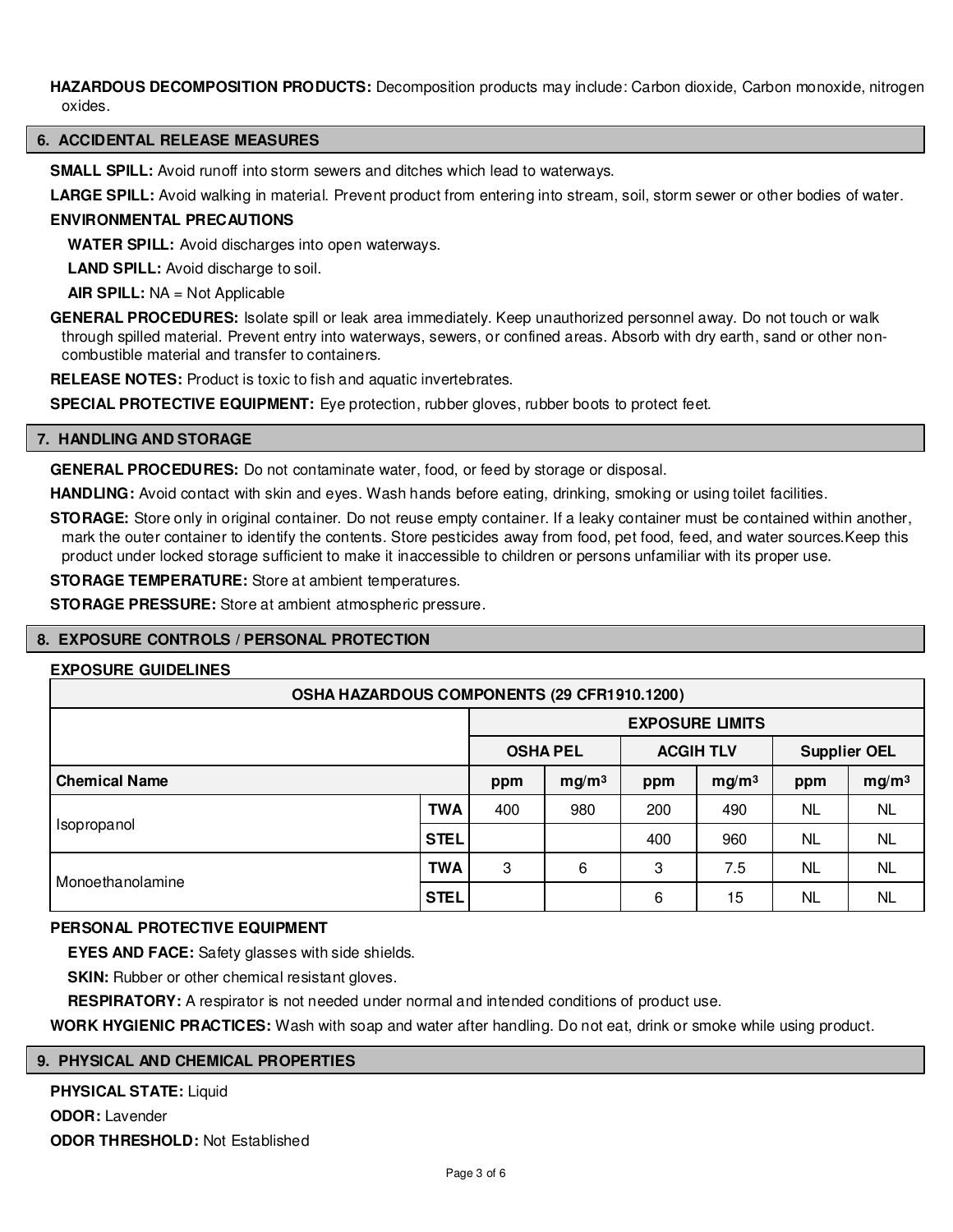HAZARDOUS DECOMPOSITION PRODUCTS: Decomposition products may include: Carbon dioxide, Carbon monoxide, nitrogen oxides.

#### **6. ACCIDENTAL RELEASE MEASURES**

**SMALL SPILL:** Avoid runoff into storm sewers and ditches which lead to waterways.

**LARGE SPILL:** Avoid walking in material. Prevent product from entering into stream, soil, storm sewer or other bodies of water.

#### **ENVIRONMENTAL PRECAUTIONS**

**WATER SPILL:** Avoid discharges into open waterways.

**LAND SPILL:** Avoid discharge to soil.

**AIR SPILL:** NA = Not Applicable

**GENERAL PROCEDURES:** Isolate spill or leak area immediately. Keep unauthorized personnel away. Do not touch or walk through spilled material. Prevent entry into waterways, sewers, or confined areas. Absorb with dry earth, sand or other noncombustible material and transfer to containers.

**RELEASE NOTES:** Product is toxic to fish and aquatic invertebrates.

**SPECIAL PROTECTIVE EQUIPMENT:** Eye protection, rubber gloves, rubber boots to protect feet.

#### **7. HANDLING AND STORAGE**

**GENERAL PROCEDURES:** Do not contaminate water, food, or feed by storage or disposal.

**HANDLING:** Avoid contact with skin and eyes. Wash hands before eating, drinking, smoking or using toilet facilities.

**STORAGE:** Store only in original container. Do not reuse empty container. If a leaky container must be contained within another, mark the outer container to identify the contents. Store pesticides away from food, pet food, feed, and water sources.Keep this product under locked storage sufficient to make it inaccessible to children or persons unfamiliar with its proper use.

**STORAGE TEMPERATURE:** Store at ambient temperatures.

**STORAGE PRESSURE:** Store at ambient atmospheric pressure.

#### **8. EXPOSURE CONTROLS / PERSONAL PROTECTION**

#### **EXPOSURE GUIDELINES**

| OSHA HAZARDOUS COMPONENTS (29 CFR1910.1200) |             |                        |                   |                  |                   |                     |                   |  |
|---------------------------------------------|-------------|------------------------|-------------------|------------------|-------------------|---------------------|-------------------|--|
|                                             |             | <b>EXPOSURE LIMITS</b> |                   |                  |                   |                     |                   |  |
|                                             |             | <b>OSHA PEL</b>        |                   | <b>ACGIH TLV</b> |                   | <b>Supplier OEL</b> |                   |  |
| <b>Chemical Name</b>                        |             | ppm                    | mg/m <sup>3</sup> | ppm              | mg/m <sup>3</sup> | ppm                 | mg/m <sup>3</sup> |  |
| Isopropanol                                 | <b>TWA</b>  | 400                    | 980               | 200              | 490               | NL                  | <b>NL</b>         |  |
|                                             | <b>STEL</b> |                        |                   | 400              | 960               | <b>NL</b>           | <b>NL</b>         |  |
| Monoethanolamine                            | <b>TWA</b>  | 3                      | 6                 | 3                | 7.5               | NL                  | <b>NL</b>         |  |
|                                             | <b>STEL</b> |                        |                   | 6                | 15                | NL                  | <b>NL</b>         |  |

#### **PERSONAL PROTECTIVE EQUIPMENT**

**EYES AND FACE:** Safety glasses with side shields.

**SKIN:** Rubber or other chemical resistant gloves.

**RESPIRATORY:** A respirator is not needed under normal and intended conditions of product use.

**WORK HYGIENIC PRACTICES:** Wash with soap and water after handling. Do not eat, drink or smoke while using product.

### **9. PHYSICAL AND CHEMICAL PROPERTIES**

**PHYSICAL STATE:** Liquid **ODOR:** Lavender **ODOR THRESHOLD:** Not Established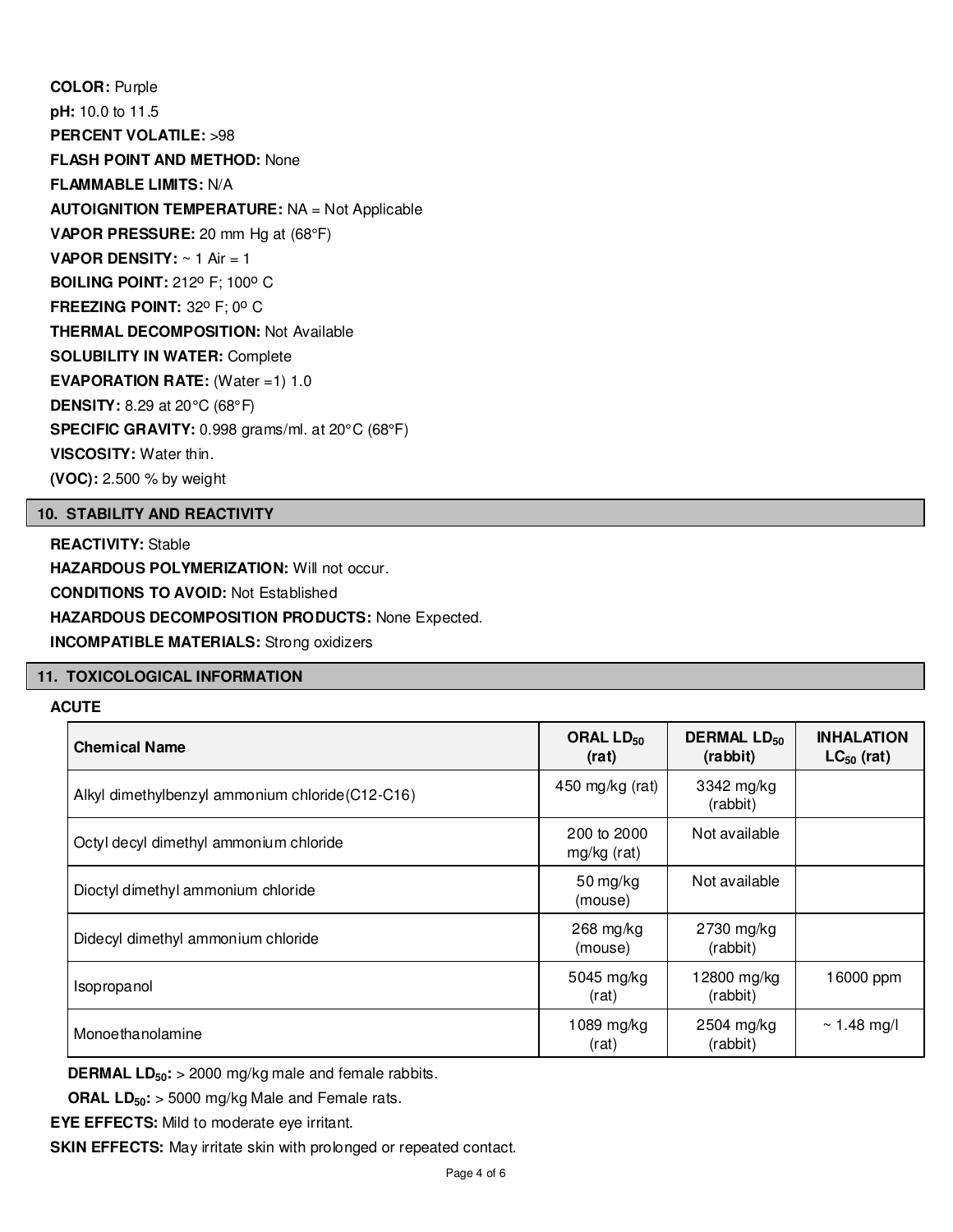**COLOR:** Purple **pH:** 10.0 to 11.5 **PERCENT VOLATILE:** >98 **FLASH POINT AND METHOD:** None **FLAMMABLE LIMITS:** N/A **AUTOIGNITION TEMPERATURE:** NA = Not Applicable **VAPOR PRESSURE:** 20 mm Hg at (68°F) **VAPOR DENSITY:** ~ 1 Air = 1 **BOILING POINT: 212° F; 100° C FREEZING POINT: 32° F; 0° C THERMAL DECOMPOSITION:** Not Available **SOLUBILITY IN WATER:** Complete **EVAPORATION RATE:** (Water =1) 1.0 **DENSITY:** 8.29 at 20°C (68°F) **SPECIFIC GRAVITY:** 0.998 grams/ml. at 20°C (68°F) **VISCOSITY:** Water thin. **(VOC):** 2.500 % by weight

# **10. STABILITY AND REACTIVITY**

**REACTIVITY:** Stable **HAZARDOUS POLYMERIZATION: Will not occur. CONDITIONS TO AVOID:** Not Established **HAZARDOUS DECOMPOSITION PRODUCTS:** None Expected. **INCOMPATIBLE MATERIALS:** Strong oxidizers

#### **11. TOXICOLOGICAL INFORMATION**

# **ACUTE**

| <b>Chemical Name</b>                             | ORAL LD <sub>50</sub><br>(rat)   | <b>DERMAL LD<sub>50</sub></b><br>(rabbit) | <b>INHALATION</b><br>$LC_{50}$ (rat) |
|--------------------------------------------------|----------------------------------|-------------------------------------------|--------------------------------------|
| Alkyl dimethylbenzyl ammonium chloride (C12-C16) | 450 mg/kg (rat)                  | 3342 mg/kg<br>(rabbit)                    |                                      |
| Octyl decyl dimethyl ammonium chloride           | 200 to 2000<br>mg/kg (rat)       | Not available                             |                                      |
| Dioctyl dimethyl ammonium chloride               | $50 \,\mathrm{mg/kg}$<br>(mouse) | Not available                             |                                      |
| Didecyl dimethyl ammonium chloride               | $268 \text{ mg/kg}$<br>(mouse)   | 2730 mg/kg<br>(rabbit)                    |                                      |
| Isopropanol                                      | 5045 mg/kg<br>(rat)              | 12800 mg/kg<br>(rabbit)                   | 16000 ppm                            |
| Monoethanolamine                                 | 1089 mg/kg<br>(rat)              | 2504 mg/kg<br>(rabbit)                    | $\sim$ 1.48 mg/l                     |

**DERMAL LD50:** > 2000 mg/kg male and female rabbits.

**ORAL LD50:** > 5000 mg/kg Male and Female rats.

**EYE EFFECTS:** Mild to moderate eye irritant.

**SKIN EFFECTS:** May irritate skin with prolonged or repeated contact.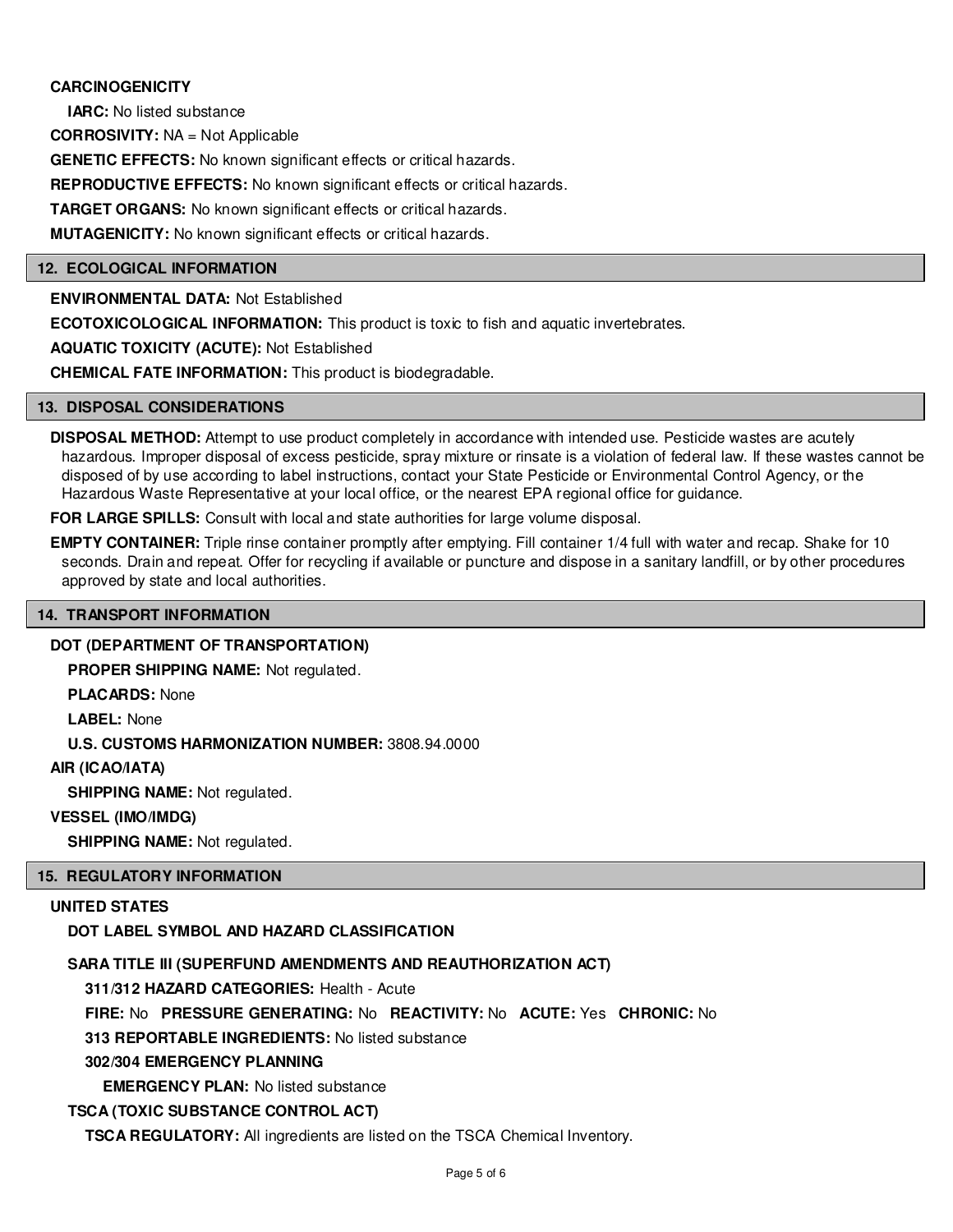# **CARCINOGENICITY**

**IARC:** No listed substance

**CORROSIVITY:** NA = Not Applicable

**GENETIC EFFECTS:** No known significant effects or critical hazards.

**REPRODUCTIVE EFFECTS:** No known significant effects or critical hazards.

**TARGET ORGANS:** No known significant effects or critical hazards.

**MUTAGENICITY:** No known significant effects or critical hazards.

#### **12. ECOLOGICAL INFORMATION**

**ENVIRONMENTAL DATA:** Not Established

**ECOTOXICOLOGICAL INFORMATION:** This product is toxic to fish and aquatic invertebrates.

**AQUATIC TOXICITY (ACUTE):** Not Established

**CHEMICAL FATE INFORMATION:** This product is biodegradable.

#### **13. DISPOSAL CONSIDERATIONS**

**DISPOSAL METHOD:** Attempt to use product completely in accordance with intended use. Pesticide wastes are acutely hazardous. Improper disposal of excess pesticide, spray mixture or rinsate is a violation of federal law. If these wastes cannot be disposed of by use according to label instructions, contact your State Pesticide or Environmental Control Agency, or the Hazardous Waste Representative at your local office, or the nearest EPA regional office for guidance.

**FOR LARGE SPILLS:** Consult with local and state authorities for large volume disposal.

**EMPTY CONTAINER:** Triple rinse container promptly after emptying. Fill container 1/4 full with water and recap. Shake for 10 seconds. Drain and repeat. Offer for recycling if available or puncture and dispose in a sanitary landfill, or by other procedures approved by state and local authorities.

# **14. TRANSPORT INFORMATION**

#### **DOT (DEPARTMENT OF TRANSPORTATION)**

**PROPER SHIPPING NAME:** Not regulated.

**PLACARDS:** None

**LABEL:** None

**U.S. CUSTOMS HARMONIZATION NUMBER:** 3808.94.0000

### **AIR (ICAO/IATA)**

**SHIPPING NAME:** Not regulated.

#### **VESSEL (IMO/IMDG)**

**SHIPPING NAME:** Not regulated.

#### **15. REGULATORY INFORMATION**

# **UNITED STATES**

#### **DOT LABEL SYMBOL AND HAZARD CLASSIFICATION**

#### **SARA TITLE III (SUPERFUND AMENDMENTS AND REAUTHORIZATION ACT)**

**311/312 HAZARD CATEGORIES:** Health - Acute

**FIRE:** No **PRESSURE GENERATING:** No **REACTIVITY:** No **ACUTE:** Yes **CHRONIC:** No

**313 REPORTABLE INGREDIENTS:** No listed substance

# **302/304 EMERGENCY PLANNING**

**EMERGENCY PLAN:** No listed substance

# **TSCA (TOXIC SUBSTANCE CONTROL ACT)**

**TSCA REGULATORY:** All ingredients are listed on the TSCA Chemical Inventory.